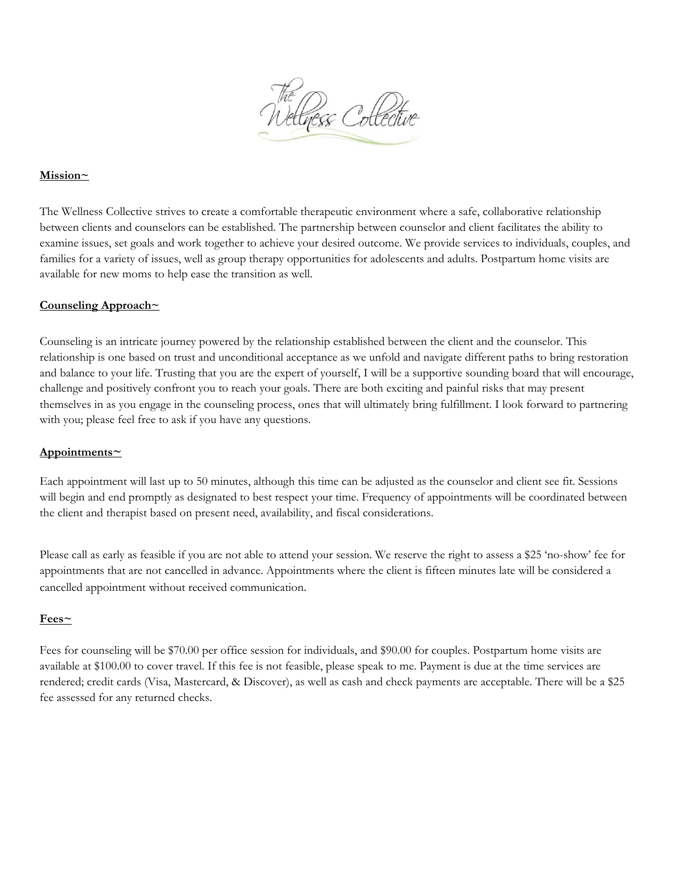

### **Mission~**

The Wellness Collective strives to create a comfortable therapeutic environment where a safe, collaborative relationship between clients and counselors can be established. The partnership between counselor and client facilitates the ability to examine issues, set goals and work together to achieve your desired outcome. We provide services to individuals, couples, and families for a variety of issues, well as group therapy opportunities for adolescents and adults. Postpartum home visits are available for new moms to help ease the transition as well.

#### **Counseling Approach~**

Counseling is an intricate journey powered by the relationship established between the client and the counselor. This relationship is one based on trust and unconditional acceptance as we unfold and navigate different paths to bring restoration and balance to your life. Trusting that you are the expert of yourself, I will be a supportive sounding board that will encourage, challenge and positively confront you to reach your goals. There are both exciting and painful risks that may present themselves in as you engage in the counseling process, ones that will ultimately bring fulfillment. I look forward to partnering with you; please feel free to ask if you have any questions.

#### **Appointments~**

Each appointment will last up to 50 minutes, although this time can be adjusted as the counselor and client see fit. Sessions will begin and end promptly as designated to best respect your time. Frequency of appointments will be coordinated between the client and therapist based on present need, availability, and fiscal considerations.

Please call as early as feasible if you are not able to attend your session. We reserve the right to assess a \$25 'no-show' fee for appointments that are not cancelled in advance. Appointments where the client is fifteen minutes late will be considered a cancelled appointment without received communication.

#### **Fees~**

Fees for counseling will be \$70.00 per office session for individuals, and \$90.00 for couples. Postpartum home visits are available at \$100.00 to cover travel. If this fee is not feasible, please speak to me. Payment is due at the time services are rendered; credit cards (Visa, Mastercard, & Discover), as well as cash and check payments are acceptable. There will be a \$25 fee assessed for any returned checks.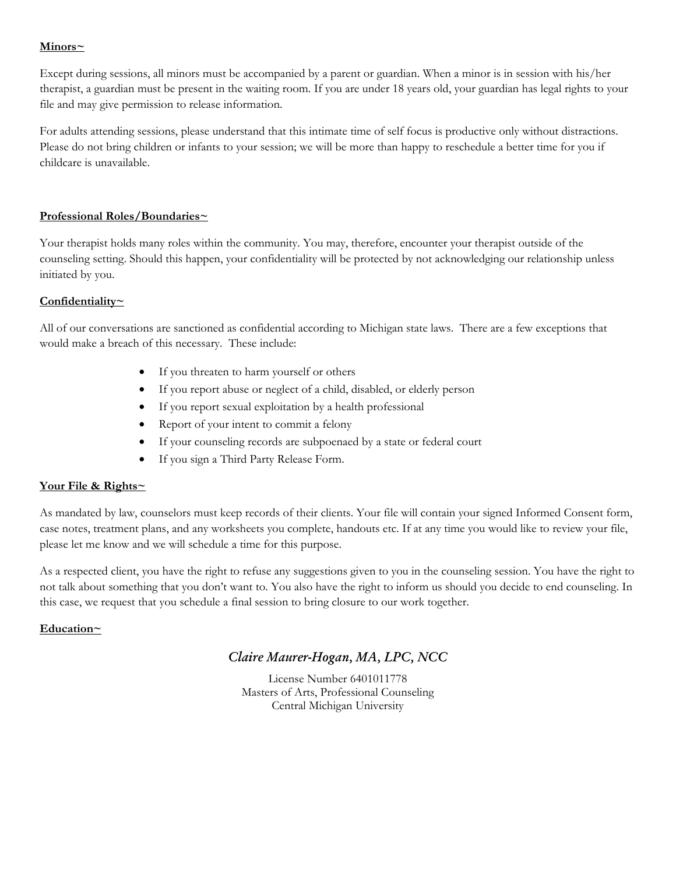## **Minors~**

Except during sessions, all minors must be accompanied by a parent or guardian. When a minor is in session with his/her therapist, a guardian must be present in the waiting room. If you are under 18 years old, your guardian has legal rights to your file and may give permission to release information.

For adults attending sessions, please understand that this intimate time of self focus is productive only without distractions. Please do not bring children or infants to your session; we will be more than happy to reschedule a better time for you if childcare is unavailable.

## **Professional Roles/Boundaries~**

Your therapist holds many roles within the community. You may, therefore, encounter your therapist outside of the counseling setting. Should this happen, your confidentiality will be protected by not acknowledging our relationship unless initiated by you.

## **Confidentiality~**

All of our conversations are sanctioned as confidential according to Michigan state laws. There are a few exceptions that would make a breach of this necessary. These include:

- If you threaten to harm yourself or others
- If you report abuse or neglect of a child, disabled, or elderly person
- If you report sexual exploitation by a health professional
- Report of your intent to commit a felony
- If your counseling records are subpoenaed by a state or federal court
- If you sign a Third Party Release Form.

# **Your File & Rights~**

As mandated by law, counselors must keep records of their clients. Your file will contain your signed Informed Consent form, case notes, treatment plans, and any worksheets you complete, handouts etc. If at any time you would like to review your file, please let me know and we will schedule a time for this purpose.

As a respected client, you have the right to refuse any suggestions given to you in the counseling session. You have the right to not talk about something that you don't want to. You also have the right to inform us should you decide to end counseling. In this case, we request that you schedule a final session to bring closure to our work together.

# **Education~**

# *Claire Maurer-Hogan, MA, LPC, NCC*

License Number 6401011778 Masters of Arts, Professional Counseling Central Michigan University